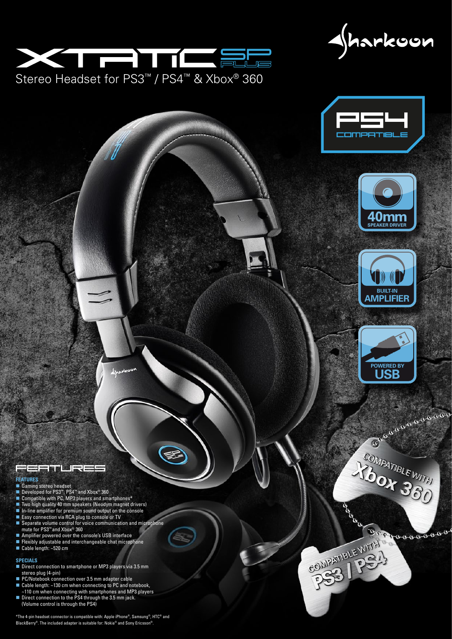Aharkoon











#### **FEATURES**

- Gaming stereo headset
- Developed for PS3™, PS4™ and Xbox® 360
- Compatible with PC, MP3 players and smartphones\* ■ Two high quality 40 mm speakers (Neodym magnet drivers)
- In-line amplifier for premium sound output on the console
- Easy connection via RCA plug to console or TV
- Separate volume control for voice communication and microphone mute for PS3™ and Xbox® 360

EL.

Stereo Headset for PS3™ / PS4™ & Xbox® 360

 $\equiv$  )

THE ST

- Amplifier powered over the console's USB interface
- **Flexibly adjustable and interchangeable chat microphone**
- Cable length: ~520 cm

#### **SPECIALS**

- Direct connection to smartphone or MP3 players via 3.5 mm stereo plug (4-pin)
- PC/Notebook connection over 3.5 mm adapter cable Cable length: ~130 cm when connecting to PC and notebook,
- ~110 cm when connecting with smartphones and MP3 players Direct connection to the PS4 through the 3.5 mm jack. (Volume control is through the PS4)

\*The 4-pin headset connector is compatible with: Apple iPhone®, Samsung®, HTC® and BlackBerry®. The included adapter is suitable for: Nokia® and Sony Ericsson®



COMPANIBLE WITH

Becoosooooo